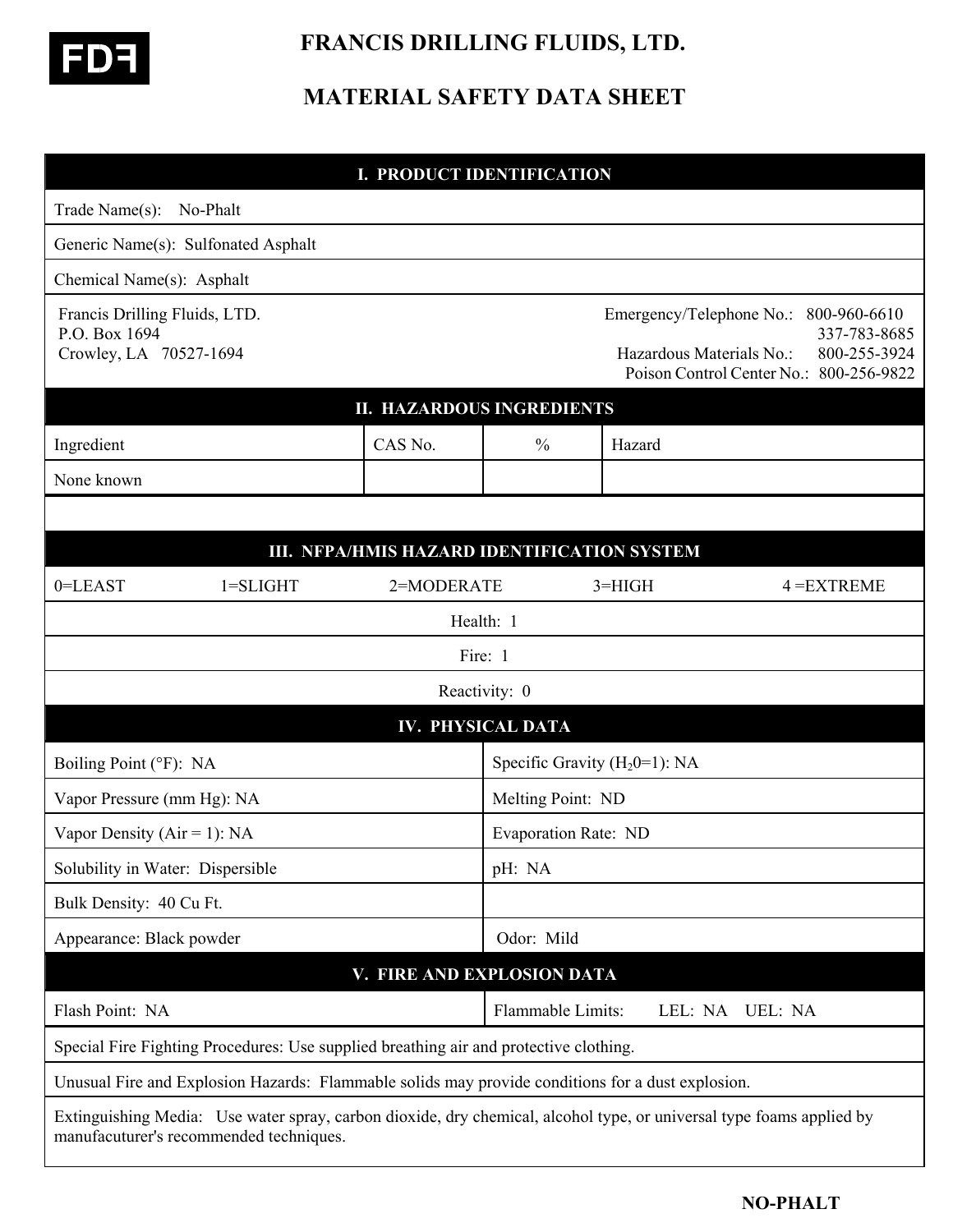

 **FRANCIS DRILLING FLUIDS, LTD.** 

## **MATERIAL SAFETY DATA SHEET**

| <b>I. PRODUCT IDENTIFICATION</b>                                                                                                                                |            |                                  |                                                                                                                                                 |  |  |
|-----------------------------------------------------------------------------------------------------------------------------------------------------------------|------------|----------------------------------|-------------------------------------------------------------------------------------------------------------------------------------------------|--|--|
| Trade Name(s):<br>No-Phalt                                                                                                                                      |            |                                  |                                                                                                                                                 |  |  |
| Generic Name(s): Sulfonated Asphalt                                                                                                                             |            |                                  |                                                                                                                                                 |  |  |
| Chemical Name(s): Asphalt                                                                                                                                       |            |                                  |                                                                                                                                                 |  |  |
| Francis Drilling Fluids, LTD.<br>P.O. Box 1694<br>Crowley, LA 70527-1694                                                                                        |            |                                  | Emergency/Telephone No.:<br>800-960-6610<br>337-783-8685<br>Hazardous Materials No.:<br>800-255-3924<br>Poison Control Center No.: 800-256-9822 |  |  |
| <b>II. HAZARDOUS INGREDIENTS</b>                                                                                                                                |            |                                  |                                                                                                                                                 |  |  |
| Ingredient                                                                                                                                                      | CAS No.    | $\frac{0}{0}$                    | Hazard                                                                                                                                          |  |  |
| None known                                                                                                                                                      |            |                                  |                                                                                                                                                 |  |  |
|                                                                                                                                                                 |            |                                  |                                                                                                                                                 |  |  |
| III. NFPA/HMIS HAZARD IDENTIFICATION SYSTEM                                                                                                                     |            |                                  |                                                                                                                                                 |  |  |
| $0 = LEAST$<br>$1 = SLIGHT$                                                                                                                                     | 2=MODERATE |                                  | $3=HIGH$<br>$4 = EXTREME$                                                                                                                       |  |  |
|                                                                                                                                                                 |            | Health: 1                        |                                                                                                                                                 |  |  |
| Fire: 1                                                                                                                                                         |            |                                  |                                                                                                                                                 |  |  |
| Reactivity: 0                                                                                                                                                   |            |                                  |                                                                                                                                                 |  |  |
| <b>IV. PHYSICAL DATA</b>                                                                                                                                        |            |                                  |                                                                                                                                                 |  |  |
| Boiling Point (°F): NA                                                                                                                                          |            | Specific Gravity $(H_20=1)$ : NA |                                                                                                                                                 |  |  |
| Vapor Pressure (mm Hg): NA                                                                                                                                      |            |                                  | Melting Point: ND                                                                                                                               |  |  |
| Vapor Density ( $Air = 1$ ): NA                                                                                                                                 |            |                                  | <b>Evaporation Rate: ND</b>                                                                                                                     |  |  |
| Solubility in Water: Dispersible                                                                                                                                |            | pH: NA                           |                                                                                                                                                 |  |  |
| Bulk Density: 40 Cu Ft.                                                                                                                                         |            |                                  |                                                                                                                                                 |  |  |
| Appearance: Black powder                                                                                                                                        |            | Odor: Mild                       |                                                                                                                                                 |  |  |
| V. FIRE AND EXPLOSION DATA                                                                                                                                      |            |                                  |                                                                                                                                                 |  |  |
| Flash Point: NA                                                                                                                                                 |            | Flammable Limits:                | LEL: NA<br><b>UEL: NA</b>                                                                                                                       |  |  |
| Special Fire Fighting Procedures: Use supplied breathing air and protective clothing.                                                                           |            |                                  |                                                                                                                                                 |  |  |
| Unusual Fire and Explosion Hazards: Flammable solids may provide conditions for a dust explosion.                                                               |            |                                  |                                                                                                                                                 |  |  |
| Extinguishing Media: Use water spray, carbon dioxide, dry chemical, alcohol type, or universal type foams applied by<br>manufacuturer's recommended techniques. |            |                                  |                                                                                                                                                 |  |  |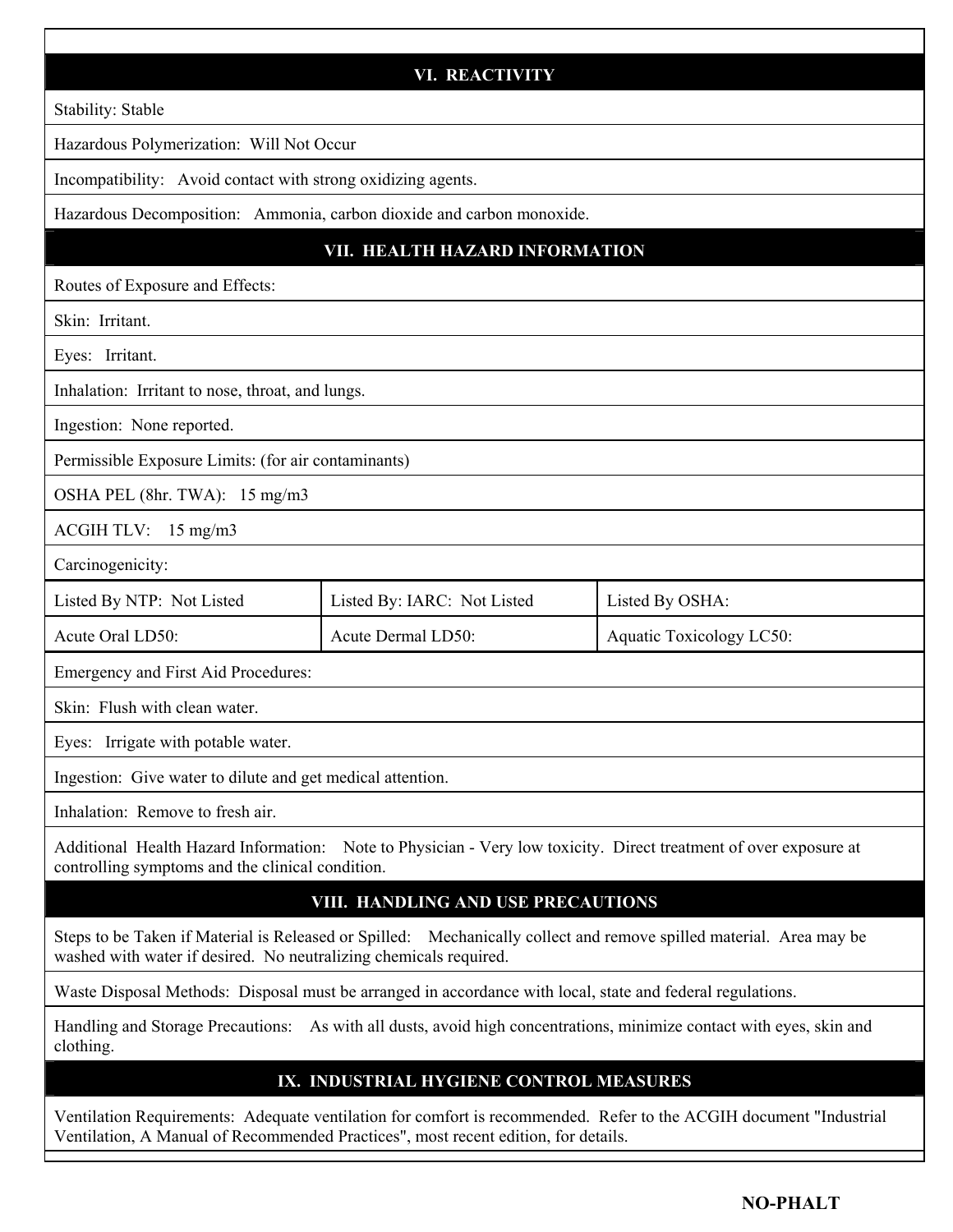| <b>VI. REACTIVITY</b>                                                                                                                                                                                    |                             |                          |  |  |
|----------------------------------------------------------------------------------------------------------------------------------------------------------------------------------------------------------|-----------------------------|--------------------------|--|--|
| Stability: Stable                                                                                                                                                                                        |                             |                          |  |  |
| Hazardous Polymerization: Will Not Occur                                                                                                                                                                 |                             |                          |  |  |
| Incompatibility: Avoid contact with strong oxidizing agents.                                                                                                                                             |                             |                          |  |  |
| Hazardous Decomposition: Ammonia, carbon dioxide and carbon monoxide.                                                                                                                                    |                             |                          |  |  |
| VII. HEALTH HAZARD INFORMATION                                                                                                                                                                           |                             |                          |  |  |
| Routes of Exposure and Effects:                                                                                                                                                                          |                             |                          |  |  |
| Skin: Irritant.                                                                                                                                                                                          |                             |                          |  |  |
| Eyes: Irritant.                                                                                                                                                                                          |                             |                          |  |  |
| Inhalation: Irritant to nose, throat, and lungs.                                                                                                                                                         |                             |                          |  |  |
| Ingestion: None reported.                                                                                                                                                                                |                             |                          |  |  |
| Permissible Exposure Limits: (for air contaminants)                                                                                                                                                      |                             |                          |  |  |
| OSHA PEL (8hr. TWA): 15 mg/m3                                                                                                                                                                            |                             |                          |  |  |
| ACGIH TLV: 15 mg/m3                                                                                                                                                                                      |                             |                          |  |  |
| Carcinogenicity:                                                                                                                                                                                         |                             |                          |  |  |
| Listed By NTP: Not Listed                                                                                                                                                                                | Listed By: IARC: Not Listed | Listed By OSHA:          |  |  |
| Acute Oral LD50:                                                                                                                                                                                         | Acute Dermal LD50:          | Aquatic Toxicology LC50: |  |  |
| Emergency and First Aid Procedures:                                                                                                                                                                      |                             |                          |  |  |
| Skin: Flush with clean water.                                                                                                                                                                            |                             |                          |  |  |
| Eyes: Irrigate with potable water.                                                                                                                                                                       |                             |                          |  |  |
| Ingestion: Give water to dilute and get medical attention.                                                                                                                                               |                             |                          |  |  |
| Inhalation: Remove to fresh air.                                                                                                                                                                         |                             |                          |  |  |
| Additional Health Hazard Information: Note to Physician - Very low toxicity. Direct treatment of over exposure at<br>controlling symptoms and the clinical condition.                                    |                             |                          |  |  |
| VIII. HANDLING AND USE PRECAUTIONS                                                                                                                                                                       |                             |                          |  |  |
| Steps to be Taken if Material is Released or Spilled: Mechanically collect and remove spilled material. Area may be<br>washed with water if desired. No neutralizing chemicals required.                 |                             |                          |  |  |
| Waste Disposal Methods: Disposal must be arranged in accordance with local, state and federal regulations.                                                                                               |                             |                          |  |  |
| Handling and Storage Precautions: As with all dusts, avoid high concentrations, minimize contact with eyes, skin and<br>clothing.                                                                        |                             |                          |  |  |
| IX. INDUSTRIAL HYGIENE CONTROL MEASURES                                                                                                                                                                  |                             |                          |  |  |
| Ventilation Requirements: Adequate ventilation for comfort is recommended. Refer to the ACGIH document "Industrial<br>Ventilation, A Manual of Recommended Practices", most recent edition, for details. |                             |                          |  |  |